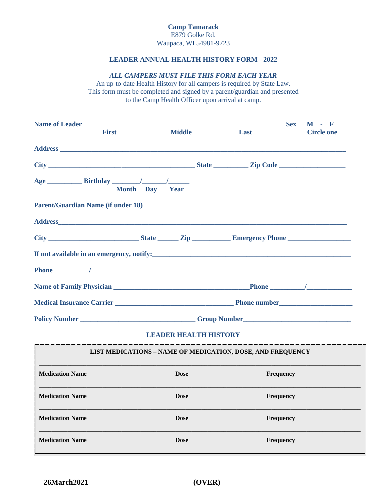## **LEADER ANNUAL HEALTH HISTORY FORM - 2022**

### *ALL CAMPERS MUST FILE THIS FORM EACH YEAR*

An up-to-date Health History for all campers is required by State Law. This form must be completed and signed by a parent/guardian and presented to the Camp Health Officer upon arrival at camp.

| <b>First</b>  | <b>Middle</b>  | Last         | <b>Circle one</b> |
|---------------|----------------|--------------|-------------------|
|               |                |              |                   |
|               |                |              |                   |
|               | Month Day Year |              |                   |
|               |                |              |                   |
|               |                |              |                   |
|               |                |              |                   |
|               |                |              |                   |
|               |                |              |                   |
|               |                |              |                   |
|               |                |              |                   |
| Policy Number |                | Group Number |                   |

# **LEADER HEALTH HISTORY**

| <b>LIST MEDICATIONS - NAME OF MEDICATION, DOSE, AND FREQUENCY</b> |             |                  |  |  |
|-------------------------------------------------------------------|-------------|------------------|--|--|
| <b>Medication Name</b>                                            | <b>Dose</b> | <b>Frequency</b> |  |  |
| <b>Medication Name</b>                                            | <b>Dose</b> | <b>Frequency</b> |  |  |
| <b>Medication Name</b>                                            | <b>Dose</b> | <b>Frequency</b> |  |  |
| <b>Medication Name</b>                                            | <b>Dose</b> | <b>Frequency</b> |  |  |